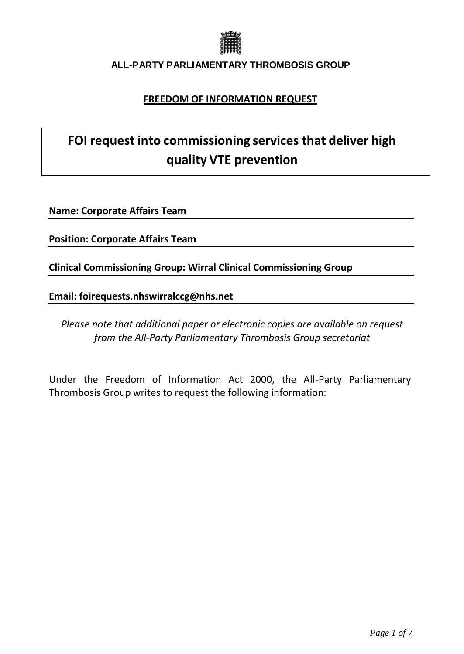

# **FREEDOM OF INFORMATION REQUEST**

# **FOI request into commissioning services that deliver high quality VTE prevention**

**Name: Corporate Affairs Team**

**Position: Corporate Affairs Team**

**Clinical Commissioning Group: Wirral Clinical Commissioning Group**

**Email: [foirequests.nhswirralccg@nhs.net](mailto:foirequests.nhswirralccg@nhs.net)**

*Please note that additional paper or electronic copies are available on request from the All-Party Parliamentary Thrombosis Group secretariat*

Under the Freedom of Information Act 2000, the All-Party Parliamentary Thrombosis Group writes to request the following information: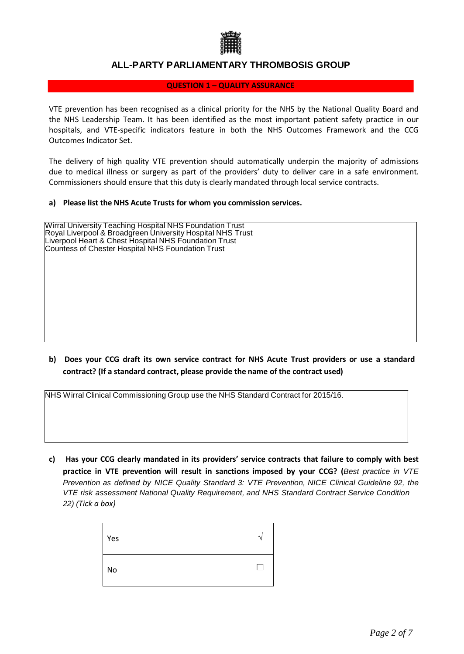

#### **QUESTION 1 – QUALITY ASSURANCE**

VTE prevention has been recognised as a clinical priority for the NHS by the National Quality Board and the NHS Leadership Team. It has been identified as the most important patient safety practice in our hospitals, and VTE-specific indicators feature in both the NHS Outcomes Framework and the CCG Outcomes Indicator Set.

The delivery of high quality VTE prevention should automatically underpin the majority of admissions due to medical illness or surgery as part of the providers' duty to deliver care in a safe environment. Commissioners should ensure that this duty is clearly mandated through local service contracts.

#### **a) Please list the NHS Acute Trusts for whom you commission services.**

| <b>Wirral University Teaching Hospital NHS Foundation Trust</b><br>Royal Liverpool & Broadgreen University Hospital NHS Trust<br>Liverpool Heart & Chest Hospital NHS Foundation Trust<br>Countess of Chester Hospital NHS Foundation Trust |
|---------------------------------------------------------------------------------------------------------------------------------------------------------------------------------------------------------------------------------------------|
|                                                                                                                                                                                                                                             |
|                                                                                                                                                                                                                                             |
|                                                                                                                                                                                                                                             |

**b) Does your CCG draft its own service contract for NHS Acute Trust providers or use a standard contract? (If a standard contract, please provide the name of the contract used)**

NHS Wirral Clinical Commissioning Group use the NHS Standard Contract for 2015/16.

**c) Has your CCG clearly mandated in its providers' service contracts that failure to comply with best practice in VTE prevention will result in sanctions imposed by your CCG? (***Best practice in VTE Prevention as defined by NICE Quality Standard 3: VTE Prevention, NICE Clinical Guideline 92, the VTE risk assessment National Quality Requirement, and NHS Standard Contract Service Condition 22) (Tick a box)*

| Yes |  |
|-----|--|
| No  |  |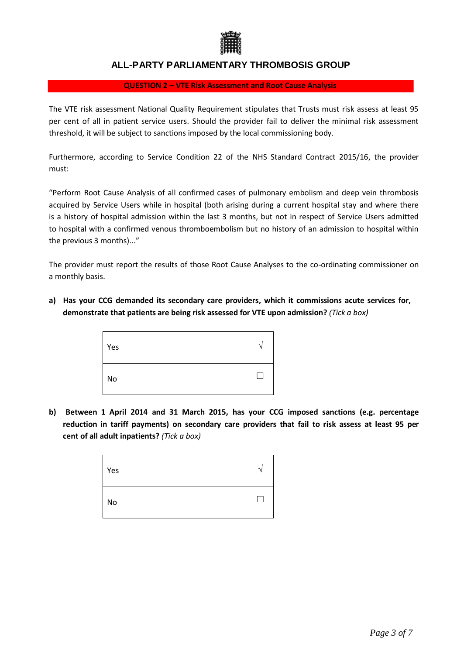

#### **QUESTION 2 – VTE Risk Assessment and Root Cause Analysis**

The VTE risk assessment National Quality Requirement stipulates that Trusts must risk assess at least 95 per cent of all in patient service users. Should the provider fail to deliver the minimal risk assessment threshold, it will be subject to sanctions imposed by the local commissioning body.

Furthermore, according to Service Condition 22 of the NHS Standard Contract 2015/16, the provider must:

"Perform Root Cause Analysis of all confirmed cases of pulmonary embolism and deep vein thrombosis acquired by Service Users while in hospital (both arising during a current hospital stay and where there is a history of hospital admission within the last 3 months, but not in respect of Service Users admitted to hospital with a confirmed venous thromboembolism but no history of an admission to hospital within the previous 3 months)..."

The provider must report the results of those Root Cause Analyses to the co-ordinating commissioner on a monthly basis.

**a) Has your CCG demanded its secondary care providers, which it commissions acute services for, demonstrate that patients are being risk assessed for VTE upon admission?** *(Tick a box)*

| Yes | n |
|-----|---|
| No  |   |

**b) Between 1 April 2014 and 31 March 2015, has your CCG imposed sanctions (e.g. percentage reduction in tariff payments) on secondary care providers that fail to risk assess at least 95 per cent of all adult inpatients?** *(Tick a box)*

| Yes | ٠ |
|-----|---|
| No  |   |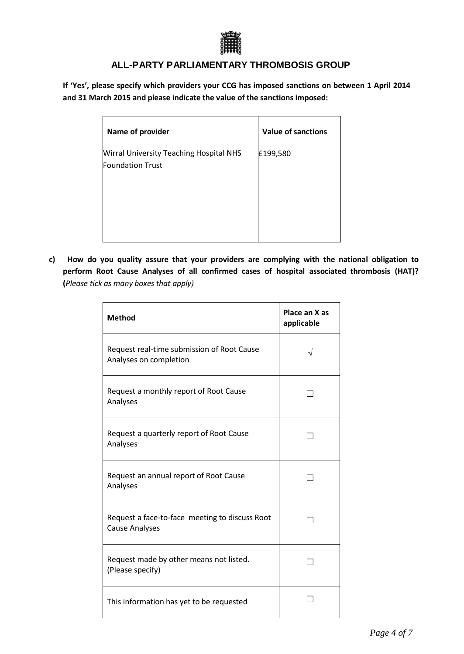

If 'Yes', please specify which providers your CCG has imposed sanctions on between 1 April 2014 **and 31 March 2015 and please indicate the value of the sanctions imposed:**

| Name of provider                               | <b>Value of sanctions</b> |
|------------------------------------------------|---------------------------|
| <b>Wirral University Teaching Hospital NHS</b> | £199,580                  |
| <b>Foundation Trust</b>                        |                           |
|                                                |                           |

**c) How do you quality assure that your providers are complying with the national obligation to perform Root Cause Analyses of all confirmed cases of hospital associated thrombosis (HAT)? (***Please tick as many boxes that apply)*

| <b>Method</b>                                                           | Place an X as<br>applicable |
|-------------------------------------------------------------------------|-----------------------------|
| Request real-time submission of Root Cause<br>Analyses on completion    |                             |
| Request a monthly report of Root Cause<br>Analyses                      |                             |
| Request a quarterly report of Root Cause<br>Analyses                    |                             |
| Request an annual report of Root Cause<br>Analyses                      |                             |
| Request a face-to-face meeting to discuss Root<br><b>Cause Analyses</b> |                             |
| Request made by other means not listed.<br>(Please specify)             |                             |
| This information has yet to be requested                                |                             |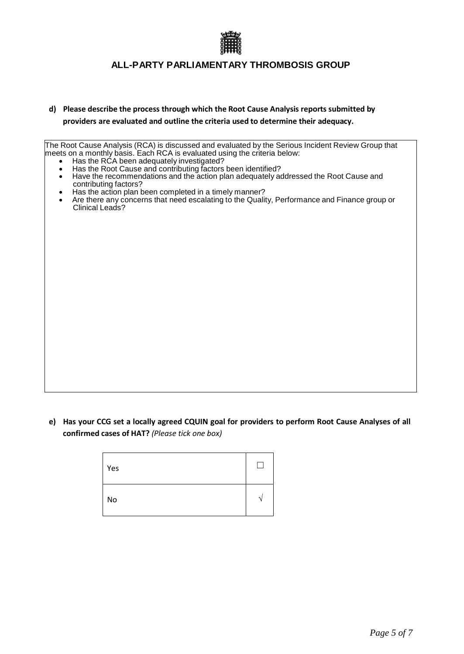

**d) Please describe the process through which the Root Cause Analysis reports submitted by providers are evaluated and outline the criteria used to determine their adequacy.**

The Root Cause Analysis (RCA) is discussed and evaluated by the Serious Incident Review Group that meets on a monthly basis. Each RCA is evaluated using the criteria below:

- Has the RCA been adequately investigated?
- Has the Root Cause and contributing factors been identified?<br>● Have the recommendations and the action plan adequately a
- Have the recommendations and the action plan adequately addressed the Root Cause and contributing factors?
- Has the action plan been completed in a timely manner?
- Are there any concerns that need escalating to the Quality, Performance and Finance group or Clinical Leads?

e) Has your CCG set a locally agreed CQUIN goal for providers to perform Root Cause Analyses of all **confirmed cases of HAT?** *(Please tick one box)*

| <b>Yes</b> |   |
|------------|---|
| No         | × |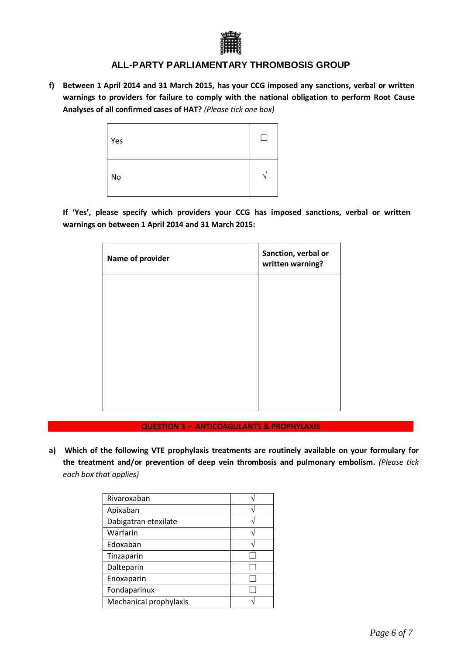

**f) Between 1 April 2014 and 31 March 2015, has your CCG imposed any sanctions, verbal or written warnings to providers for failure to comply with the national obligation to perform Root Cause Analyses of all confirmed cases of HAT?** *(Please tick one box)*

| Yes |  |
|-----|--|
| No  |  |

**If 'Yes', please specify which providers your CCG has imposed sanctions, verbal or written warnings on between 1 April 2014 and 31 March 2015:**

| Name of provider | Sanction, verbal or<br>written warning? |
|------------------|-----------------------------------------|
|                  |                                         |
|                  |                                         |
|                  |                                         |
|                  |                                         |
|                  |                                         |

**QUESTION 3 – ANTICOAGULANTS & PROPHYLAXIS** 

**a) Which of the following VTE prophylaxis treatments are routinely available on your formulary for the treatment and/or prevention of deep vein thrombosis and pulmonary embolism.** *(Please tick each box that applies)*

| Rivaroxaban            |  |
|------------------------|--|
| Apixaban               |  |
| Dabigatran etexilate   |  |
| Warfarin               |  |
| Edoxaban               |  |
| Tinzaparin             |  |
| Dalteparin             |  |
| Enoxaparin             |  |
| Fondaparinux           |  |
| Mechanical prophylaxis |  |